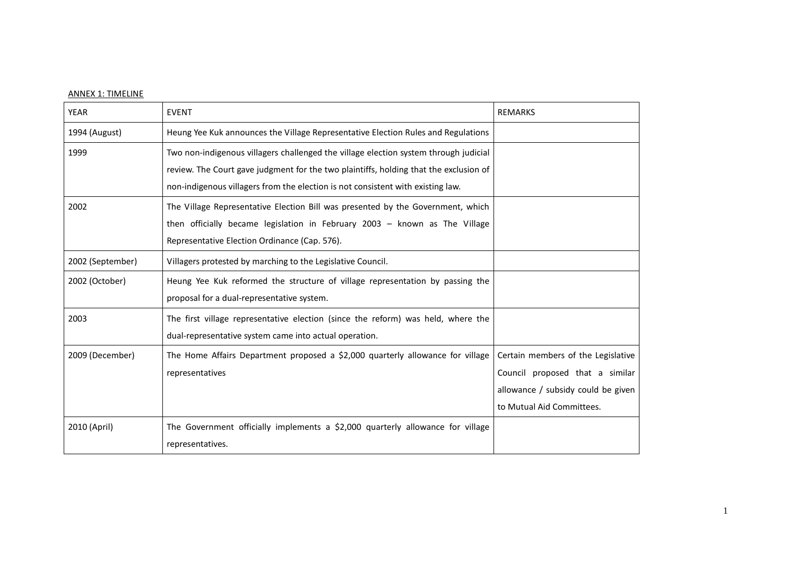## ANNEX 1: TIMELINE

| <b>YEAR</b>      | <b>EVENT</b>                                                                                                                                                                                                                                                     | <b>REMARKS</b>                                                                                                                           |
|------------------|------------------------------------------------------------------------------------------------------------------------------------------------------------------------------------------------------------------------------------------------------------------|------------------------------------------------------------------------------------------------------------------------------------------|
| 1994 (August)    | Heung Yee Kuk announces the Village Representative Election Rules and Regulations                                                                                                                                                                                |                                                                                                                                          |
| 1999             | Two non-indigenous villagers challenged the village election system through judicial<br>review. The Court gave judgment for the two plaintiffs, holding that the exclusion of<br>non-indigenous villagers from the election is not consistent with existing law. |                                                                                                                                          |
| 2002             | The Village Representative Election Bill was presented by the Government, which<br>then officially became legislation in February 2003 - known as The Village<br>Representative Election Ordinance (Cap. 576).                                                   |                                                                                                                                          |
| 2002 (September) | Villagers protested by marching to the Legislative Council.                                                                                                                                                                                                      |                                                                                                                                          |
| 2002 (October)   | Heung Yee Kuk reformed the structure of village representation by passing the<br>proposal for a dual-representative system.                                                                                                                                      |                                                                                                                                          |
| 2003             | The first village representative election (since the reform) was held, where the<br>dual-representative system came into actual operation.                                                                                                                       |                                                                                                                                          |
| 2009 (December)  | The Home Affairs Department proposed a \$2,000 quarterly allowance for village<br>representatives                                                                                                                                                                | Certain members of the Legislative<br>Council proposed that a similar<br>allowance / subsidy could be given<br>to Mutual Aid Committees. |
| 2010 (April)     | The Government officially implements a \$2,000 quarterly allowance for village<br>representatives.                                                                                                                                                               |                                                                                                                                          |